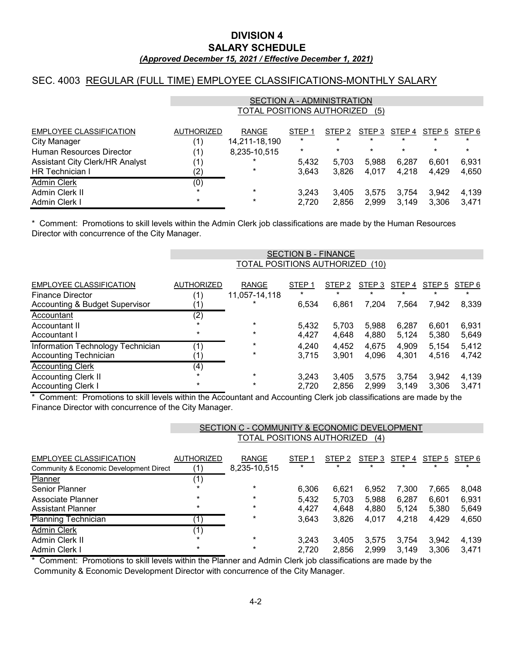### *(Approved December 15, 2021 / Effective December 1, 2021)* **SALARY SCHEDULE DIVISION 4**

## SEC. 4003 REGULAR (FULL TIME) EMPLOYEE CLASSIFICATIONS-MONTHLY SALARY

|                                 | SECTION A - ADMINISTRATION        |               |                   |                   |         |         |         |         |  |
|---------------------------------|-----------------------------------|---------------|-------------------|-------------------|---------|---------|---------|---------|--|
|                                 | TOTAL POSITIONS AUTHORIZED<br>(5) |               |                   |                   |         |         |         |         |  |
| <b>EMPLOYEE CLASSIFICATION</b>  | <b>AUTHORIZED</b>                 | <b>RANGE</b>  | STEP <sub>1</sub> | STEP <sub>2</sub> | STEP 3  | STEP 4  | STEP 5  | STEP 6  |  |
| <b>City Manager</b>             | (1)                               | 14,211-18,190 | $\star$           | $\ast$            | $\ast$  | $\ast$  | $\star$ | $\ast$  |  |
| Human Resources Director        | (1)                               | 8,235-10,515  | $\ast$            | $\star$           | $\star$ | $\star$ | $\star$ | $\star$ |  |
| Assistant City Clerk/HR Analyst | (1)                               | *             | 5,432             | 5.703             | 5.988   | 6.287   | 6.601   | 6,931   |  |
| <b>HR</b> Technician I          | $\left( 2\right)$                 | $\ast$        | 3.643             | 3.826             | 4.017   | 4.218   | 4.429   | 4,650   |  |
| <b>Admin Clerk</b>              | (0)                               |               |                   |                   |         |         |         |         |  |
| Admin Clerk II                  | $\star$                           | $\ast$        | 3.243             | 3.405             | 3.575   | 3.754   | 3.942   | 4,139   |  |
| Admin Clerk I                   | $\star$                           | $\ast$        | 2,720             | 2.856             | 2.999   | 3.149   | 3.306   | 3.471   |  |

Director with concurrence of the City Manager. \* Comment: Promotions to skill levels within the Admin Clerk job classifications are made by the Human Resources

|                                                                   | <b>SECTION B - FINANCE</b> |                                 |                   |                   |                   |                |                |                   |  |
|-------------------------------------------------------------------|----------------------------|---------------------------------|-------------------|-------------------|-------------------|----------------|----------------|-------------------|--|
|                                                                   |                            | TOTAL POSITIONS AUTHORIZED (10) |                   |                   |                   |                |                |                   |  |
| <b>EMPLOYEE CLASSIFICATION</b><br><b>Finance Director</b>         | <b>AUTHORIZED</b><br>(1)   | <b>RANGE</b><br>11,057-14,118   | STEP <sub>1</sub> | STEP <sub>2</sub> | STEP 3<br>$\star$ | STEP 4         | STEP 5         | STEP 6<br>$\star$ |  |
| <b>Accounting &amp; Budget Supervisor</b>                         |                            |                                 | 6,534             | 6,861             | 7,204             | 7,564          | 7,942          | 8,339             |  |
| Accountant                                                        | (2)                        |                                 |                   |                   |                   |                |                |                   |  |
| Accountant II                                                     |                            | $\ast$                          | 5,432             | 5,703             | 5.988             | 6,287          | 6.601          | 6,931             |  |
| Accountant I                                                      | $^\star$                   | $\ast$                          | 4,427             | 4.648             | 4,880             | 5.124          | 5,380          | 5,649             |  |
| Information Technology Technician<br><b>Accounting Technician</b> | (1)                        | $\ast$<br>$\ast$                | 4,240<br>3,715    | 4,452<br>3,901    | 4,675<br>4,096    | 4,909<br>4,301 | 5,154<br>4,516 | 5,412<br>4,742    |  |
| <b>Accounting Clerk</b>                                           | (4)                        |                                 |                   |                   |                   |                |                |                   |  |
| <b>Accounting Clerk II</b>                                        |                            | $\ast$                          | 3,243             | 3,405             | 3,575             | 3,754          | 3,942          | 4,139             |  |
| <b>Accounting Clerk I</b><br>.  .                                 | $^\star$                   | $\star$                         | 2,720             | 2,856             | 2.999             | 3.149          | 3.306          | 3.471             |  |

\* Comment: Promotions to skill levels within the Accountant and Accounting Clerk job classifications are made by the Finance Director with concurrence of the City Manager.

|                                         | SECTION C - COMMUNITY & ECONOMIC DEVELOPMENT |              |                   |                   |         |        |                   |        |  |
|-----------------------------------------|----------------------------------------------|--------------|-------------------|-------------------|---------|--------|-------------------|--------|--|
|                                         | TOTAL POSITIONS AUTHORIZED<br>(4)            |              |                   |                   |         |        |                   |        |  |
|                                         |                                              |              |                   |                   |         |        |                   |        |  |
| EMPLOYEE CLASSIFICATION                 | <b>AUTHORIZED</b>                            | <b>RANGE</b> | STEP <sub>1</sub> | STEP <sub>2</sub> | STEP 3  | STEP 4 | STEP <sub>5</sub> | STEP 6 |  |
| Community & Economic Development Direct | (1)                                          | 8,235-10,515 | $\star$           | $\star$           | $\star$ |        | $\star$           |        |  |
| <b>Planner</b>                          | (1)                                          |              |                   |                   |         |        |                   |        |  |
| <b>Senior Planner</b>                   | $\star$                                      | $\star$      | 6,306             | 6,621             | 6,952   | 7,300  | 7,665             | 8,048  |  |
| Associate Planner                       | $\star$                                      | $\ast$       | 5,432             | 5,703             | 5,988   | 6,287  | 6,601             | 6,931  |  |
| <b>Assistant Planner</b>                | $\ast$                                       | $\ast$       | 4,427             | 4,648             | 4,880   | 5,124  | 5.380             | 5,649  |  |
| <b>Planning Technician</b>              |                                              | $\ast$       | 3,643             | 3,826             | 4,017   | 4,218  | 4,429             | 4,650  |  |
| <b>Admin Clerk</b>                      | (1)                                          |              |                   |                   |         |        |                   |        |  |
| Admin Clerk II                          |                                              | $\star$      | 3,243             | 3.405             | 3,575   | 3.754  | 3.942             | 4,139  |  |
| Admin Clerk I                           | $\star$                                      | $\ast$       | 2,720             | 2,856             | 2.999   | 3.149  | 3,306             | 3.471  |  |

\* Comment: Promotions to skill levels within the Planner and Admin Clerk job classifications are made by the

Community & Economic Development Director with concurrence of the City Manager.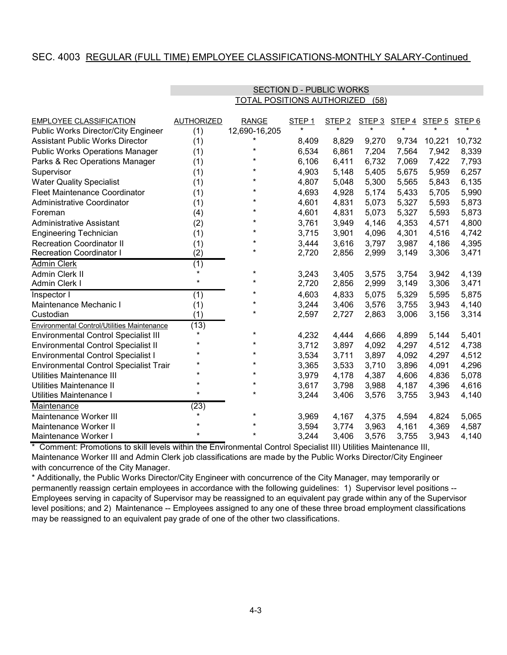## SEC. 4003 REGULAR (FULL TIME) EMPLOYEE CLASSIFICATIONS-MONTHLY SALARY-Continued

| <b>EMPLOYEE CLASSIFICATION</b>                | <b>AUTHORIZED</b> | <b>RANGE</b>  | STEP <sub>1</sub> | STEP <sub>2</sub> | STEP 3  | STEP 4 STEP 5 |        | STEP <sub>6</sub> |
|-----------------------------------------------|-------------------|---------------|-------------------|-------------------|---------|---------------|--------|-------------------|
| Public Works Director/City Engineer           | (1)               | 12,690-16,205 | $\star$           | $\star$           | $\star$ |               |        |                   |
| <b>Assistant Public Works Director</b>        | (1)               |               | 8,409             | 8,829             | 9,270   | 9,734         | 10,221 | 10,732            |
| <b>Public Works Operations Manager</b>        | (1)               | $\star$       | 6,534             | 6,861             | 7,204   | 7,564         | 7,942  | 8,339             |
| Parks & Rec Operations Manager                | (1)               | $\ast$        | 6,106             | 6,411             | 6,732   | 7,069         | 7,422  | 7,793             |
| Supervisor                                    | (1)               | *             | 4,903             | 5,148             | 5,405   | 5,675         | 5,959  | 6,257             |
| <b>Water Quality Specialist</b>               | (1)               | *             | 4,807             | 5,048             | 5,300   | 5,565         | 5,843  | 6,135             |
| <b>Fleet Maintenance Coordinator</b>          | (1)               | $^\star$      | 4,693             | 4,928             | 5,174   | 5,433         | 5,705  | 5,990             |
| <b>Administrative Coordinator</b>             | (1)               | $^\star$      | 4,601             | 4,831             | 5,073   | 5,327         | 5,593  | 5,873             |
| Foreman                                       | (4)               | $^\star$      | 4,601             | 4,831             | 5,073   | 5,327         | 5,593  | 5,873             |
| <b>Administrative Assistant</b>               | (2)               | $\star$       | 3,761             | 3,949             | 4,146   | 4,353         | 4,571  | 4,800             |
| <b>Engineering Technician</b>                 | (1)               | $^\star$      | 3,715             | 3,901             | 4,096   | 4,301         | 4,516  | 4,742             |
| <b>Recreation Coordinator II</b>              | (1)               | $^\star$      | 3,444             | 3,616             | 3,797   | 3,987         | 4,186  | 4,395             |
| <b>Recreation Coordinator I</b>               | (2)               | $^\star$      | 2,720             | 2,856             | 2,999   | 3,149         | 3,306  | 3,471             |
| <b>Admin Clerk</b>                            | (1)               |               |                   |                   |         |               |        |                   |
| Admin Clerk II                                | $\star$           | $^\star$      | 3,243             | 3,405             | 3,575   | 3,754         | 3,942  | 4,139             |
| Admin Clerk I                                 | $\star$           | $^\star$      | 2,720             | 2,856             | 2,999   | 3,149         | 3,306  | 3,471             |
| Inspector I                                   | (1)               | $^\star$      | 4,603             | 4,833             | 5,075   | 5,329         | 5,595  | 5,875             |
| Maintenance Mechanic I                        | (1)               | *             | 3,244             | 3,406             | 3,576   | 3,755         | 3,943  | 4,140             |
| Custodian                                     | (1)               | *             | 2,597             | 2,727             | 2,863   | 3,006         | 3,156  | 3,314             |
| Environmental Control/Utilities Maintenance   | (13)              |               |                   |                   |         |               |        |                   |
| <b>Environmental Control Specialist III</b>   | $\star$           | $\star$       | 4,232             | 4,444             | 4,666   | 4,899         | 5,144  | 5,401             |
| <b>Environmental Control Specialist II</b>    | $\ast$            | $^\star$      | 3,712             | 3,897             | 4,092   | 4,297         | 4,512  | 4,738             |
| <b>Environmental Control Specialist I</b>     | $\star$           | $^\star$      | 3,534             | 3,711             | 3,897   | 4,092         | 4,297  | 4,512             |
| <b>Environmental Control Specialist Trair</b> |                   | $\star$       | 3,365             | 3,533             | 3,710   | 3,896         | 4,091  | 4,296             |
| Utilities Maintenance III                     | $\ast$            | $^\star$      | 3,979             | 4,178             | 4,387   | 4,606         | 4,836  | 5,078             |
| Utilities Maintenance II                      |                   | *             | 3,617             | 3,798             | 3,988   | 4,187         | 4,396  | 4,616             |
| Utilities Maintenance I                       | $\star$           | $\star$       | 3,244             | 3,406             | 3,576   | 3,755         | 3,943  | 4,140             |
| Maintenance                                   | (23)              |               |                   |                   |         |               |        |                   |
| Maintenance Worker III                        |                   | $^\star$      | 3,969             | 4,167             | 4,375   | 4,594         | 4,824  | 5,065             |
| Maintenance Worker II                         |                   | $\ast$        | 3,594             | 3,774             | 3,963   | 4,161         | 4,369  | 4,587             |
| Maintenance Worker I                          | $\star$           | $\ast$        | 3,244             | 3,406             | 3,576   | 3,755         | 3,943  | 4,140             |

#### TOTAL POSITIONS AUTHORIZED (58) SECTION D - PUBLIC WORKS

Maintenance Worker III and Admin Clerk job classifications are made by the Public Works Director/City Engineer \* Comment: Promotions to skill levels within the Environmental Control Specialist III) Utilities Maintenance III, with concurrence of the City Manager.

\* Additionally, the Public Works Director/City Engineer with concurrence of the City Manager, may temporarily or permanently reassign certain employees in accordance with the following guidelines: 1) Supervisor level positions -- Employees serving in capacity of Supervisor may be reassigned to an equivalent pay grade within any of the Supervisor level positions; and 2) Maintenance -- Employees assigned to any one of these three broad employment classifications may be reassigned to an equivalent pay grade of one of the other two classifications.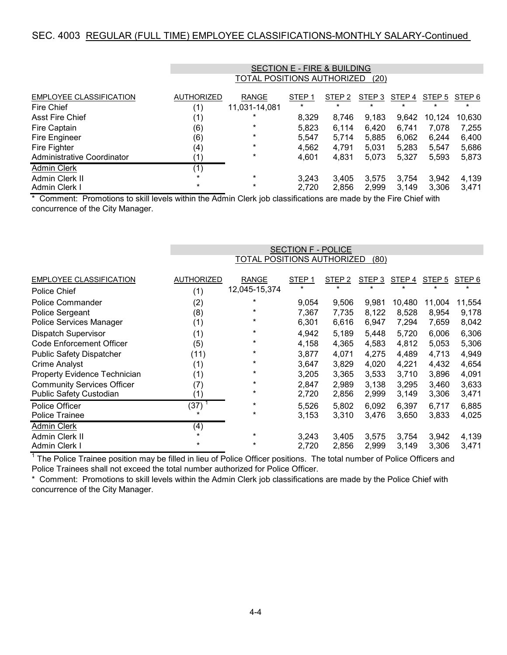## SEC. 4003 REGULAR (FULL TIME) EMPLOYEE CLASSIFICATIONS-MONTHLY SALARY-Continued

|                                |                   |                                    | <b>SECTION E - FIRE &amp; BUILDING</b> |                   |                   |         |        |         |  |
|--------------------------------|-------------------|------------------------------------|----------------------------------------|-------------------|-------------------|---------|--------|---------|--|
|                                |                   | TOTAL POSITIONS AUTHORIZED<br>(20) |                                        |                   |                   |         |        |         |  |
|                                |                   |                                    |                                        |                   |                   |         |        |         |  |
| <b>EMPLOYEE CLASSIFICATION</b> | <b>AUTHORIZED</b> | <b>RANGE</b>                       | STEP <sub>1</sub>                      | STEP <sub>2</sub> | STEP <sub>3</sub> | STEP 4  | STEP 5 | STEP 6  |  |
| Fire Chief                     | (1)               | 11,031-14,081                      | $\star$                                | $\star$           | $\star$           | $\star$ |        | $\star$ |  |
| <b>Asst Fire Chief</b>         | (1)               | *                                  | 8,329                                  | 8,746             | 9,183             | 9,642   | 10,124 | 10,630  |  |
| Fire Captain                   | (6)               | $\ast$                             | 5,823                                  | 6,114             | 6,420             | 6,741   | 7,078  | 7,255   |  |
| Fire Engineer                  | (6)               | $\ast$                             | 5,547                                  | 5,714             | 5,885             | 6,062   | 6,244  | 6,400   |  |
| Fire Fighter                   | (4)               | $\ast$                             | 4,562                                  | 4,791             | 5,031             | 5,283   | 5,547  | 5,686   |  |
| Administrative Coordinator     | (1)               | $\ast$                             | 4,601                                  | 4,831             | 5,073             | 5,327   | 5,593  | 5,873   |  |
| <b>Admin Clerk</b>             | (1)               |                                    |                                        |                   |                   |         |        |         |  |
| Admin Clerk II                 | $\ast$            | $\star$                            | 3,243                                  | 3,405             | 3,575             | 3,754   | 3,942  | 4,139   |  |
| Admin Clerk I                  | $\star$           | $\ast$                             | 2,720                                  | 2,856             | 2,999             | 3.149   | 3,306  | 3.471   |  |

\* Comment: Promotions to skill levels within the Admin Clerk job classifications are made by the Fire Chief with concurrence of the City Manager.

|                                   |                   | <b>SECTION F - POLICE</b>  |                              |                              |                   |                              |                   |                              |  |  |
|-----------------------------------|-------------------|----------------------------|------------------------------|------------------------------|-------------------|------------------------------|-------------------|------------------------------|--|--|
|                                   |                   | TOTAL POSITIONS AUTHORIZED |                              |                              | (80)              |                              |                   |                              |  |  |
| <b>EMPLOYEE CLASSIFICATION</b>    | <b>AUTHORIZED</b> | <b>RANGE</b>               | STEP <sub>1</sub><br>$\star$ | STEP <sub>2</sub><br>$\star$ | STEP 3<br>$\star$ | STEP <sub>4</sub><br>$\star$ | STEP <sub>5</sub> | STEP <sub>6</sub><br>$\star$ |  |  |
| Police Chief                      | (1)               | 12,045-15,374              |                              |                              |                   |                              |                   |                              |  |  |
| <b>Police Commander</b>           | (2)               | $\ast$                     | 9,054                        | 9,506                        | 9,981             | 10,480                       | 11,004            | 11,554                       |  |  |
| Police Sergeant                   | (8)               | $\ast$                     | 7,367                        | 7,735                        | 8,122             | 8,528                        | 8,954             | 9,178                        |  |  |
| Police Services Manager           | (1)               | $\ast$                     | 6,301                        | 6,616                        | 6,947             | 7,294                        | 7,659             | 8,042                        |  |  |
| <b>Dispatch Supervisor</b>        | (1)               | $\ast$                     | 4,942                        | 5,189                        | 5,448             | 5,720                        | 6,006             | 6,306                        |  |  |
| <b>Code Enforcement Officer</b>   | (5)               | $\ast$                     | 4,158                        | 4,365                        | 4,583             | 4,812                        | 5,053             | 5,306                        |  |  |
| <b>Public Safety Dispatcher</b>   | (11)              | $^\star$                   | 3,877                        | 4,071                        | 4,275             | 4,489                        | 4,713             | 4,949                        |  |  |
| <b>Crime Analyst</b>              | (1)               | $\ast$                     | 3,647                        | 3,829                        | 4,020             | 4,221                        | 4,432             | 4,654                        |  |  |
| Property Evidence Technician      | (1)               | $^\star$                   | 3,205                        | 3,365                        | 3,533             | 3,710                        | 3,896             | 4,091                        |  |  |
| <b>Community Services Officer</b> | (7)               | $\ast$                     | 2,847                        | 2,989                        | 3,138             | 3,295                        | 3,460             | 3,633                        |  |  |
| Public Safety Custodian           | (1)               | $^\star$                   | 2,720                        | 2,856                        | 2,999             | 3,149                        | 3,306             | 3,471                        |  |  |
| Police Officer                    | (37)              | $\ast$                     | 5,526                        | 5,802                        | 6,092             | 6,397                        | 6,717             | 6,885                        |  |  |
| Police Trainee                    | $\star$           | $^\star$                   | 3,153                        | 3,310                        | 3,476             | 3,650                        | 3,833             | 4,025                        |  |  |
| <b>Admin Clerk</b>                | (4)               |                            |                              |                              |                   |                              |                   |                              |  |  |
| Admin Clerk II                    | $\star$           | $\star$                    | 3,243                        | 3,405                        | 3,575             | 3,754                        | 3,942             | 4,139                        |  |  |
| Admin Clerk I                     | $^\star$          | $\ast$                     | 2,720                        | 2,856                        | 2,999             | 3,149                        | 3,306             | 3,471                        |  |  |

 $^\text{1}$  The Police Trainee position may be filled in lieu of Police Officer positions. The total number of Police Officers and Police Trainees shall not exceed the total number authorized for Police Officer.

concurrence of the City Manager. \* Comment: Promotions to skill levels within the Admin Clerk job classifications are made by the Police Chief with